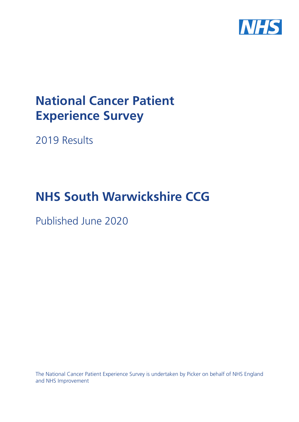

# **National Cancer Patient Experience Survey**

2019 Results

# **NHS South Warwickshire CCG**

Published June 2020

The National Cancer Patient Experience Survey is undertaken by Picker on behalf of NHS England and NHS Improvement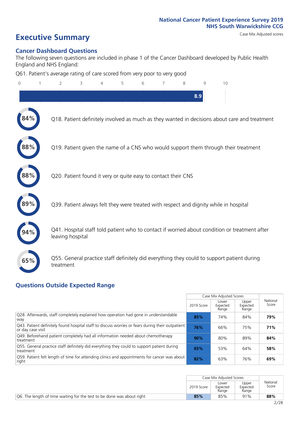### **Executive Summary** Case Mix Adjusted scores

### **Cancer Dashboard Questions**

The following seven questions are included in phase 1 of the Cancer Dashboard developed by Public Health England and NHS England:

Q61. Patient's average rating of care scored from very poor to very good

| $\overline{0}$ | 2                | 3 | 4 | 5 | 6 | 7                                                             | 8 | 9   | 10                                                                                            |  |
|----------------|------------------|---|---|---|---|---------------------------------------------------------------|---|-----|-----------------------------------------------------------------------------------------------|--|
|                |                  |   |   |   |   |                                                               |   | 8.9 |                                                                                               |  |
|                |                  |   |   |   |   |                                                               |   |     | Q18. Patient definitely involved as much as they wanted in decisions about care and treatment |  |
| 88%            |                  |   |   |   |   |                                                               |   |     | Q19. Patient given the name of a CNS who would support them through their treatment           |  |
| 88%            |                  |   |   |   |   | Q20. Patient found it very or quite easy to contact their CNS |   |     |                                                                                               |  |
|                |                  |   |   |   |   |                                                               |   |     | Q39. Patient always felt they were treated with respect and dignity while in hospital         |  |
|                | leaving hospital |   |   |   |   |                                                               |   |     | Q41. Hospital staff told patient who to contact if worried about condition or treatment after |  |
| 65%            | treatment        |   |   |   |   |                                                               |   |     | Q55. General practice staff definitely did everything they could to support patient during    |  |
|                |                  |   |   |   |   |                                                               |   |     |                                                                                               |  |

### **Questions Outside Expected Range**

|                                                                                                                        |            | Case Mix Adjusted Scores   |                            |                   |
|------------------------------------------------------------------------------------------------------------------------|------------|----------------------------|----------------------------|-------------------|
|                                                                                                                        | 2019 Score | Lower<br>Expected<br>Range | Upper<br>Expected<br>Range | National<br>Score |
| Q28. Afterwards, staff completely explained how operation had gone in understandable<br>wav                            | 85%        | 74%                        | 84%                        | 79%               |
| [943] Patient definitely found hospital staff to discuss worries or fears during their outpatient<br>or day case visit | 76%        | 66%                        | 75%                        | 71%               |
| Q49. Beforehand patient completely had all information needed about chemotherapy<br>treatment                          | 90%        | 80%                        | 89%                        | 84%               |
| Q55. General practice staff definitely did everything they could to support patient during<br>treatment                | 65%        | 53%                        | 64%                        | 58%               |
| [Q59] Patient felt length of time for attending clinics and appointments for cancer was about<br>right                 | 82%        | 63%                        | 76%                        | 69%               |

|                                                                        | Case Mix Adjusted Scores |                            |                            |                   |
|------------------------------------------------------------------------|--------------------------|----------------------------|----------------------------|-------------------|
|                                                                        | 2019 Score               | Lower<br>Expected<br>Range | Upper<br>Expected<br>Range | National<br>Score |
| Q6. The length of time waiting for the test to be done was about right | 85%                      | 85%                        | 91%                        | 88%               |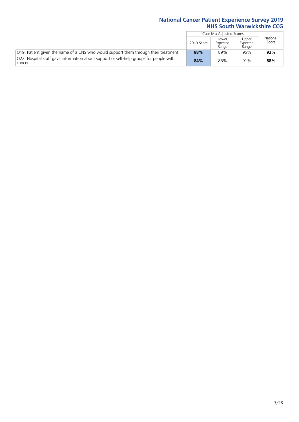|                                                                                                  |            | Case Mix Adjusted Scores   |                            |                   |
|--------------------------------------------------------------------------------------------------|------------|----------------------------|----------------------------|-------------------|
|                                                                                                  | 2019 Score | Lower<br>Expected<br>Range | Upper<br>Expected<br>Range | National<br>Score |
| Q19. Patient given the name of a CNS who would support them through their treatment              | 88%        | 89%                        | 95%                        | 92%               |
| Q22. Hospital staff gave information about support or self-help groups for people with<br>cancer | 84%        | 85%                        | 91%                        | 88%               |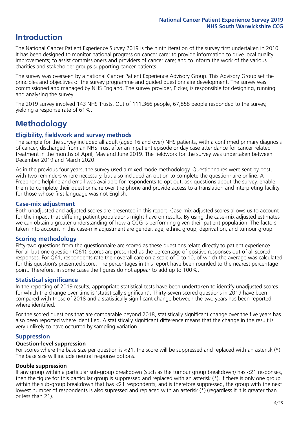### **Introduction**

The National Cancer Patient Experience Survey 2019 is the ninth iteration of the survey first undertaken in 2010. It has been designed to monitor national progress on cancer care; to provide information to drive local quality improvements; to assist commissioners and providers of cancer care; and to inform the work of the various charities and stakeholder groups supporting cancer patients.

The survey was overseen by a national Cancer Patient Experience Advisory Group. This Advisory Group set the principles and objectives of the survey programme and guided questionnaire development. The survey was commissioned and managed by NHS England. The survey provider, Picker, is responsible for designing, running and analysing the survey.

The 2019 survey involved 143 NHS Trusts. Out of 111,366 people, 67,858 people responded to the survey, yielding a response rate of 61%.

### **Methodology**

### **Eligibility, eldwork and survey methods**

The sample for the survey included all adult (aged 16 and over) NHS patients, with a confirmed primary diagnosis of cancer, discharged from an NHS Trust after an inpatient episode or day case attendance for cancer related treatment in the months of April, May and June 2019. The fieldwork for the survey was undertaken between December 2019 and March 2020.

As in the previous four years, the survey used a mixed mode methodology. Questionnaires were sent by post, with two reminders where necessary, but also included an option to complete the questionnaire online. A Freephone helpline and email was available for respondents to opt out, ask questions about the survey, enable them to complete their questionnaire over the phone and provide access to a translation and interpreting facility for those whose first language was not English.

### **Case-mix adjustment**

Both unadjusted and adjusted scores are presented in this report. Case-mix adjusted scores allows us to account for the impact that differing patient populations might have on results. By using the case-mix adjusted estimates we can obtain a greater understanding of how a CCG is performing given their patient population. The factors taken into account in this case-mix adjustment are gender, age, ethnic group, deprivation, and tumour group.

### **Scoring methodology**

Fifty-two questions from the questionnaire are scored as these questions relate directly to patient experience. For all but one question (Q61), scores are presented as the percentage of positive responses out of all scored responses. For Q61, respondents rate their overall care on a scale of 0 to 10, of which the average was calculated for this question's presented score. The percentages in this report have been rounded to the nearest percentage point. Therefore, in some cases the figures do not appear to add up to 100%.

### **Statistical significance**

In the reporting of 2019 results, appropriate statistical tests have been undertaken to identify unadjusted scores for which the change over time is 'statistically significant'. Thirty-seven scored questions in 2019 have been compared with those of 2018 and a statistically significant change between the two years has been reported where identified.

For the scored questions that are comparable beyond 2018, statistically significant change over the five years has also been reported where identified. A statistically significant difference means that the change in the result is very unlikely to have occurred by sampling variation.

### **Suppression**

### **Question-level suppression**

For scores where the base size per question is  $<$ 21, the score will be suppressed and replaced with an asterisk (\*). The base size will include neutral response options.

### **Double suppression**

If any group within a particular sub-group breakdown (such as the tumour group breakdown) has <21 responses, then the figure for this particular group is suppressed and replaced with an asterisk (\*). If there is only one group within the sub-group breakdown that has <21 respondents, and is therefore suppressed, the group with the next lowest number of respondents is also supressed and replaced with an asterisk (\*) (regardless if it is greater than or less than 21).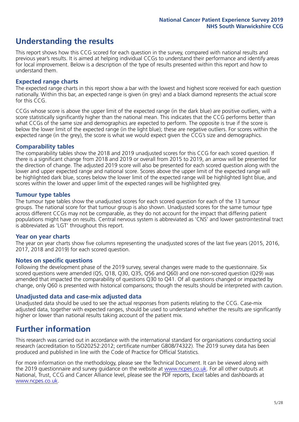### **Understanding the results**

This report shows how this CCG scored for each question in the survey, compared with national results and previous year's results. It is aimed at helping individual CCGs to understand their performance and identify areas for local improvement. Below is a description of the type of results presented within this report and how to understand them.

### **Expected range charts**

The expected range charts in this report show a bar with the lowest and highest score received for each question nationally. Within this bar, an expected range is given (in grey) and a black diamond represents the actual score for this CCG.

CCGs whose score is above the upper limit of the expected range (in the dark blue) are positive outliers, with a score statistically significantly higher than the national mean. This indicates that the CCG performs better than what CCGs of the same size and demographics are expected to perform. The opposite is true if the score is below the lower limit of the expected range (in the light blue); these are negative outliers. For scores within the expected range (in the grey), the score is what we would expect given the CCG's size and demographics.

### **Comparability tables**

The comparability tables show the 2018 and 2019 unadjusted scores for this CCG for each scored question. If there is a significant change from 2018 and 2019 or overall from 2015 to 2019, an arrow will be presented for the direction of change. The adjusted 2019 score will also be presented for each scored question along with the lower and upper expected range and national score. Scores above the upper limit of the expected range will be highlighted dark blue, scores below the lower limit of the expected range will be highlighted light blue, and scores within the lower and upper limit of the expected ranges will be highlighted grey.

### **Tumour type tables**

The tumour type tables show the unadjusted scores for each scored question for each of the 13 tumour groups. The national score for that tumour group is also shown. Unadjusted scores for the same tumour type across different CCGs may not be comparable, as they do not account for the impact that differing patient populations might have on results. Central nervous system is abbreviated as 'CNS' and lower gastrointestinal tract is abbreviated as 'LGT' throughout this report.

### **Year on year charts**

The year on year charts show five columns representing the unadjusted scores of the last five years (2015, 2016, 2017, 2018 and 2019) for each scored question.

### **Notes on specific questions**

Following the development phase of the 2019 survey, several changes were made to the questionnaire. Six scored questions were amended (Q5, Q18, Q30, Q35, Q56 and Q60) and one non-scored question (Q29) was amended that impacted the comparability of questions Q30 to Q41. Of all questions changed or impacted by change, only Q60 is presented with historical comparisons; though the results should be interpreted with caution.

### **Unadjusted data and case-mix adjusted data**

Unadjusted data should be used to see the actual responses from patients relating to the CCG. Case-mix adjusted data, together with expected ranges, should be used to understand whether the results are significantly higher or lower than national results taking account of the patient mix.

### **Further information**

This research was carried out in accordance with the international standard for organisations conducting social research (accreditation to ISO20252:2012; certificate number GB08/74322). The 2019 survey data has been produced and published in line with the Code of Practice for Official Statistics.

For more information on the methodology, please see the Technical Document. It can be viewed along with the 2019 questionnaire and survey quidance on the website at [www.ncpes.co.uk](https://www.ncpes.co.uk/supporting-documents). For all other outputs at National, Trust, CCG and Cancer Alliance level, please see the PDF reports, Excel tables and dashboards at [www.ncpes.co.uk.](https://www.ncpes.co.uk/current-results)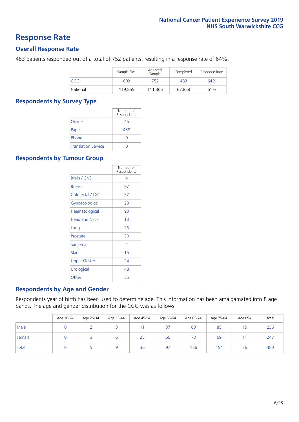### **Response Rate**

### **Overall Response Rate**

483 patients responded out of a total of 752 patients, resulting in a response rate of 64%.

|          | Sample Size | Adjusted<br>Sample | Completed | Response Rate |
|----------|-------------|--------------------|-----------|---------------|
| CCG      | 802         | 752                | 483       | 64%           |
| National | 119,855     | 111,366            | 67,858    | 61%           |

### **Respondents by Survey Type**

|                            | Number of<br>Respondents |
|----------------------------|--------------------------|
| Online                     | 45                       |
| Paper                      | 438                      |
| Phone                      |                          |
| <b>Translation Service</b> |                          |

### **Respondents by Tumour Group**

|                      | Number of<br>Respondents |
|----------------------|--------------------------|
| Brain / CNS          | 4                        |
| <b>Breast</b>        | 97                       |
| Colorectal / LGT     | 57                       |
| Gynaecological       | 20                       |
| Haematological       | 90                       |
| <b>Head and Neck</b> | 1 <sub>3</sub>           |
| Lung                 | 26                       |
| Prostate             | 30                       |
| Sarcoma              | 4                        |
| Skin                 | 15                       |
| <b>Upper Gastro</b>  | 24                       |
| Urological           | 48                       |
| Other                | 55                       |

### **Respondents by Age and Gender**

Respondents year of birth has been used to determine age. This information has been amalgamated into 8 age bands. The age and gender distribution for the CCG was as follows:

|        | Age 16-24 | Age 25-34 | Age 35-44 | Age 45-54 | Age 55-64 | Age 65-74 | Age 75-84 | Age 85+ | Total |
|--------|-----------|-----------|-----------|-----------|-----------|-----------|-----------|---------|-------|
| Male   |           |           |           |           | 37        | 83        | 85        | 15      | 236   |
| Female |           |           | ь         | 25        | 60        | 73        | 69        |         | 247   |
| Total  |           |           |           | 36        | 97        | 156       | 154       | 26      | 483   |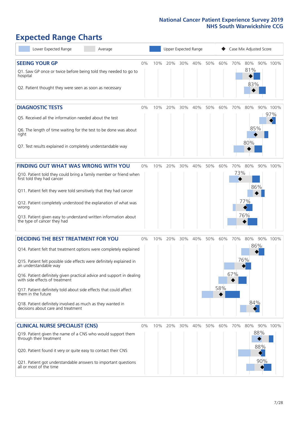## **Expected Range Charts**

| Lower Expected Range<br>Average                                                                                                               |    |     |     |     | Upper Expected Range |     |     |            | Case Mix Adjusted Score |            |          |
|-----------------------------------------------------------------------------------------------------------------------------------------------|----|-----|-----|-----|----------------------|-----|-----|------------|-------------------------|------------|----------|
| <b>SEEING YOUR GP</b><br>Q1. Saw GP once or twice before being told they needed to go to<br>hospital                                          | 0% | 10% | 20% | 30% | 40%                  | 50% | 60% | 70%        | 80%<br>81%<br>83%       |            | 90% 100% |
| Q2. Patient thought they were seen as soon as necessary<br><b>DIAGNOSTIC TESTS</b>                                                            | 0% | 10% | 20% | 30% | 40%                  | 50% | 60% | 70%        | 80%                     |            | 90% 100% |
| O5. Received all the information needed about the test<br>Q6. The length of time waiting for the test to be done was about                    |    |     |     |     |                      |     |     |            | 85%                     |            | 97%      |
| right<br>Q7. Test results explained in completely understandable way                                                                          |    |     |     |     |                      |     |     |            | 80%                     |            |          |
|                                                                                                                                               |    |     |     |     |                      |     |     |            |                         |            |          |
| <b>FINDING OUT WHAT WAS WRONG WITH YOU</b><br>Q10. Patient told they could bring a family member or friend when<br>first told they had cancer | 0% | 10% | 20% | 30% | 40%                  | 50% | 60% | 70%<br>73% | 80%                     |            | 90% 100% |
| Q11. Patient felt they were told sensitively that they had cancer                                                                             |    |     |     |     |                      |     |     |            | 86%                     |            |          |
| Q12. Patient completely understood the explanation of what was<br>wrong<br>Q13. Patient given easy to understand written information about    |    |     |     |     |                      |     |     |            | 77%<br>76%              |            |          |
| the type of cancer they had                                                                                                                   |    |     |     |     |                      |     |     |            |                         |            |          |
| <b>DECIDING THE BEST TREATMENT FOR YOU</b><br>Q14. Patient felt that treatment options were completely explained                              | 0% | 10% | 20% | 30% | 40%                  | 50% | 60% | 70%        | 80%<br>86%              |            | 90% 100% |
| Q15. Patient felt possible side effects were definitely explained in<br>an understandable way                                                 |    |     |     |     |                      |     |     |            | 76%                     |            |          |
| Q16. Patient definitely given practical advice and support in dealing<br>with side effects of treatment                                       |    |     |     |     |                      |     |     | 67%        |                         |            |          |
| Q17. Patient definitely told about side effects that could affect<br>them in the future                                                       |    |     |     |     |                      |     | 58% |            |                         |            |          |
| Q18. Patient definitely involved as much as they wanted in<br>decisions about care and treatment                                              |    |     |     |     |                      |     |     |            | 84%                     |            |          |
| <b>CLINICAL NURSE SPECIALIST (CNS)</b>                                                                                                        | 0% | 10% | 20% | 30% | 40%                  | 50% | 60% | 70%        | 80%                     |            | 90% 100% |
| Q19. Patient given the name of a CNS who would support them<br>through their treatment                                                        |    |     |     |     |                      |     |     |            |                         | 88%        |          |
| Q20. Patient found it very or quite easy to contact their CNS<br>Q21. Patient got understandable answers to important questions               |    |     |     |     |                      |     |     |            |                         | 88%<br>90% |          |
| all or most of the time                                                                                                                       |    |     |     |     |                      |     |     |            |                         |            |          |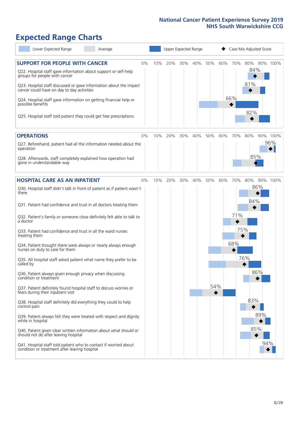### **Expected Range Charts**

| Lower Expected Range<br>Average                                                                                                                                                                                                                                                                                                                                                                                                                                                                                                                                                                                                                                                                                                                                                                                                                                                                                                                                                                                                                                                                                                                                                   |       |     | Upper Expected Range |     |     |            |     |                          | Case Mix Adjusted Score                              |                 |
|-----------------------------------------------------------------------------------------------------------------------------------------------------------------------------------------------------------------------------------------------------------------------------------------------------------------------------------------------------------------------------------------------------------------------------------------------------------------------------------------------------------------------------------------------------------------------------------------------------------------------------------------------------------------------------------------------------------------------------------------------------------------------------------------------------------------------------------------------------------------------------------------------------------------------------------------------------------------------------------------------------------------------------------------------------------------------------------------------------------------------------------------------------------------------------------|-------|-----|----------------------|-----|-----|------------|-----|--------------------------|------------------------------------------------------|-----------------|
| <b>SUPPORT FOR PEOPLE WITH CANCER</b><br>Q22. Hospital staff gave information about support or self-help<br>groups for people with cancer<br>Q23. Hospital staff discussed or gave information about the impact<br>cancer could have on day to day activities<br>Q24. Hospital staff gave information on getting financial help or<br>possible benefits<br>Q25. Hospital staff told patient they could get free prescriptions                                                                                                                                                                                                                                                                                                                                                                                                                                                                                                                                                                                                                                                                                                                                                     | $0\%$ | 10% | 20%                  | 30% | 40% | 50%        | 60% | 70%<br>66%               | 80%<br>84%<br>81%<br>82%                             | 90% 100%        |
| <b>OPERATIONS</b><br>Q27. Beforehand, patient had all the information needed about the<br>operation<br>Q28. Afterwards, staff completely explained how operation had<br>gone in understandable way                                                                                                                                                                                                                                                                                                                                                                                                                                                                                                                                                                                                                                                                                                                                                                                                                                                                                                                                                                                | $0\%$ | 10% | 20%                  | 30% | 40% | 50%        | 60% | 70%                      | 80%<br>85%                                           | 90% 100%<br>96% |
| <b>HOSPITAL CARE AS AN INPATIENT</b><br>Q30. Hospital staff didn't talk in front of patient as if patient wasn't<br>there<br>Q31. Patient had confidence and trust in all doctors treating them<br>Q32. Patient's family or someone close definitely felt able to talk to<br>a doctor<br>Q33. Patient had confidence and trust in all the ward nurses<br>treating them<br>Q34. Patient thought there were always or nearly always enough<br>nurses on duty to care for them<br>Q35. All hospital staff asked patient what name they prefer to be<br>called by<br>Q36. Patient always given enough privacy when discussing<br>condition or treatment<br>Q37. Patient definitely found hospital staff to discuss worries or<br>fears during their inpatient visit<br>Q38. Hospital staff definitely did everything they could to help<br>control pain<br>Q39. Patient always felt they were treated with respect and dignity<br>while in hospital<br>Q40. Patient given clear written information about what should or<br>should not do after leaving hospital<br>Q41. Hospital staff told patient who to contact if worried about<br>condition or treatment after leaving hospital | $0\%$ | 10% | 20%                  | 30% | 40% | 50%<br>54% | 60% | 70%<br>71%<br>75%<br>68% | 80%<br>86%<br>84%<br>76%<br>86%<br>83%<br>89%<br>85% | 90% 100%<br>94% |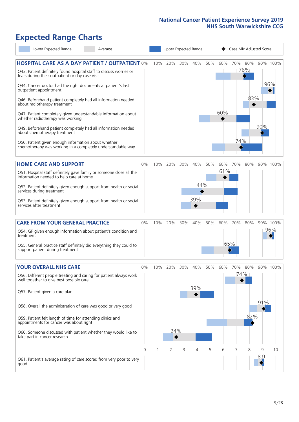### **Expected Range Charts**

| Lower Expected Range<br>Average                                                                                       |          |     |     |     | Upper Expected Range |     |     | Case Mix Adjusted Score |         |     |          |  |
|-----------------------------------------------------------------------------------------------------------------------|----------|-----|-----|-----|----------------------|-----|-----|-------------------------|---------|-----|----------|--|
| <b>HOSPITAL CARE AS A DAY PATIENT / OUTPATIENT 0%</b>                                                                 |          | 10% | 20% | 30% | 40%                  | 50% | 60% |                         | 70% 80% |     | 90% 100% |  |
| Q43. Patient definitely found hospital staff to discuss worries or<br>fears during their outpatient or day case visit |          |     |     |     |                      |     |     |                         | 76%     |     |          |  |
| Q44. Cancer doctor had the right documents at patient's last<br>outpatient appointment                                |          |     |     |     |                      |     |     |                         |         |     | 96%      |  |
| Q46. Beforehand patient completely had all information needed<br>about radiotherapy treatment                         |          |     |     |     |                      |     |     |                         | 83%     |     |          |  |
| Q47. Patient completely given understandable information about<br>whether radiotherapy was working                    |          |     |     |     |                      |     | 60% |                         |         |     |          |  |
| Q49. Beforehand patient completely had all information needed<br>about chemotherapy treatment                         |          |     |     |     |                      |     |     |                         |         | 90% |          |  |
| Q50. Patient given enough information about whether<br>chemotherapy was working in a completely understandable way    |          |     |     |     |                      |     |     | 74%                     |         |     |          |  |
| <b>HOME CARE AND SUPPORT</b>                                                                                          | 0%       | 10% | 20% | 30% | 40%                  | 50% | 60% | 70%                     | 80%     |     | 90% 100% |  |
| Q51. Hospital staff definitely gave family or someone close all the<br>information needed to help care at home        |          |     |     |     |                      |     | 61% |                         |         |     |          |  |
| Q52. Patient definitely given enough support from health or social<br>services during treatment                       |          |     |     |     | 44%                  |     |     |                         |         |     |          |  |
| Q53. Patient definitely given enough support from health or social<br>services after treatment                        |          |     |     |     | 39%                  |     |     |                         |         |     |          |  |
| <b>CARE FROM YOUR GENERAL PRACTICE</b>                                                                                | 0%       | 10% | 20% | 30% | 40%                  | 50% | 60% | 70%                     | 80%     |     | 90% 100% |  |
| Q54. GP given enough information about patient's condition and<br>treatment                                           |          |     |     |     |                      |     |     |                         |         |     | 96%      |  |
| Q55. General practice staff definitely did everything they could to<br>support patient during treatment               |          |     |     |     |                      |     | 65% |                         |         |     |          |  |
| <b>YOUR OVERALL NHS CARE</b>                                                                                          | 0%       | 10% | 20% | 30% | 40%                  | 50% | 60% | 70%                     | 80%     |     | 90% 100% |  |
| Q56. Different people treating and caring for patient always work<br>well together to give best possible care         |          |     |     |     |                      |     |     |                         | 74%     |     |          |  |
| Q57. Patient given a care plan                                                                                        |          |     |     |     | 39%                  |     |     |                         |         |     |          |  |
| Q58. Overall the administration of care was good or very good                                                         |          |     |     |     |                      |     |     |                         |         | 91% |          |  |
| Q59. Patient felt length of time for attending clinics and<br>appointments for cancer was about right                 |          |     |     |     |                      |     |     |                         | 82%     |     |          |  |
| Q60. Someone discussed with patient whether they would like to<br>take part in cancer research                        |          |     | 24% |     |                      |     |     |                         |         |     |          |  |
|                                                                                                                       | $\Omega$ |     | 2   | 3   | 4                    | 5   | 6   |                         | 8       | 9   | 10       |  |
| Q61. Patient's average rating of care scored from very poor to very<br>good                                           |          |     |     |     |                      |     |     |                         |         | 8.9 |          |  |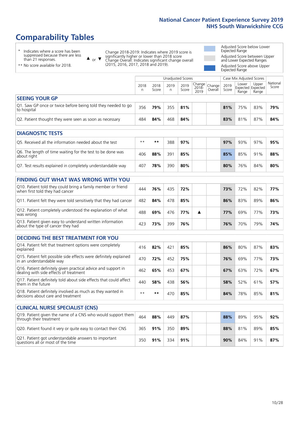### **Comparability Tables**

\* Indicates where a score has been suppressed because there are less than 21 responses.

\*\* No score available for 2018.

 $\triangle$  or  $\nabla$ 

Change 2018-2019: Indicates where 2019 score is significantly higher or lower than 2018 score Change Overall: Indicates significant change overall (2015, 2016, 2017, 2018 and 2019).

Adjusted Score below Lower Expected Range Adjusted Score between Upper and Lower Expected Ranges Adjusted Score above Upper Expected Range

|                                                                             | Unadjusted Scores |               |            |               |                                         |  |               | Case Mix Adjusted Scores |                                     |                   |  |
|-----------------------------------------------------------------------------|-------------------|---------------|------------|---------------|-----------------------------------------|--|---------------|--------------------------|-------------------------------------|-------------------|--|
|                                                                             | 2018<br>n         | 2018<br>Score | 2019<br>n. | 2019<br>Score | Change<br>2018-<br>2010 Overall<br>2019 |  | 2019<br>Score | Lower<br>Range           | Upper<br>Expected Expected<br>Range | National<br>Score |  |
| <b>SEEING YOUR GP</b>                                                       |                   |               |            |               |                                         |  |               |                          |                                     |                   |  |
| Q1. Saw GP once or twice before being told they needed to go<br>to hospital | 356               | 79%           | 355        | 81%           |                                         |  | 81%           | 75%                      | 83%                                 | 79%               |  |
| Q2. Patient thought they were seen as soon as necessary                     | 484               | 84%           | 468        | 84%           |                                         |  | 83%           | 81%                      | 87%                                 | 84%               |  |
| <b>DIAGNOSTIC TESTS</b>                                                     |                   |               |            |               |                                         |  |               |                          |                                     |                   |  |

| <b>PIASIVOJIJE I LJIJ</b>                                                 |      |     |     |     |  |     |     |     |     |
|---------------------------------------------------------------------------|------|-----|-----|-----|--|-----|-----|-----|-----|
| Q5. Received all the information needed about the test                    | $**$ | **  | 388 | 97% |  | 97% | 93% | 97% | 95% |
| Q6. The length of time waiting for the test to be done was<br>about right | 406  | 88% | 391 | 85% |  | 85% | 85% | 91% | 88% |
| Q7. Test results explained in completely understandable way               | 407  | 78% | 390 | 80% |  | 80% | 76% | 84% | 80% |

| <b>FINDING OUT WHAT WAS WRONG WITH YOU</b>                                                      |     |     |     |     |  |     |     |     |     |
|-------------------------------------------------------------------------------------------------|-----|-----|-----|-----|--|-----|-----|-----|-----|
| Q10. Patient told they could bring a family member or friend<br>when first told they had cancer | 444 | 76% | 435 | 72% |  | 73% | 72% | 82% | 77% |
| Q11. Patient felt they were told sensitively that they had cancer                               | 482 | 84% | 478 | 85% |  | 86% | 83% | 89% | 86% |
| Q12. Patient completely understood the explanation of what<br>was wrong                         | 488 | 69% | 476 | 77% |  | 77% | 69% | 77% | 73% |
| Q13. Patient given easy to understand written information<br>about the type of cancer they had  | 423 | 73% | 399 | 76% |  | 76% | 70% | 79% | 74% |

| <b>DECIDING THE BEST TREATMENT FOR YOU</b>                                                              |      |     |     |     |  |     |     |     |     |
|---------------------------------------------------------------------------------------------------------|------|-----|-----|-----|--|-----|-----|-----|-----|
| Q14. Patient felt that treatment options were completely<br>explained                                   | 416  | 82% | 421 | 85% |  | 86% | 80% | 87% | 83% |
| Q15. Patient felt possible side effects were definitely explained<br>in an understandable way           | 470  | 72% | 452 | 75% |  | 76% | 69% | 77% | 73% |
| Q16. Patient definitely given practical advice and support in<br>dealing with side effects of treatment | 462  | 65% | 453 | 67% |  | 67% | 63% | 72% | 67% |
| Q17. Patient definitely told about side effects that could affect<br>them in the future                 | 440  | 58% | 438 | 56% |  | 58% | 52% | 61% | 57% |
| Q18. Patient definitely involved as much as they wanted in<br>decisions about care and treatment        | $**$ | **  | 470 | 85% |  | 84% | 78% | 85% | 81% |

| <b>CLINICAL NURSE SPECIALIST (CNS)</b>                                                    |     |     |     |     |     |     |     |     |
|-------------------------------------------------------------------------------------------|-----|-----|-----|-----|-----|-----|-----|-----|
| Q19. Patient given the name of a CNS who would support them<br>through their treatment    | 464 | 88% | 449 | 87% | 88% | 89% | 95% | 92% |
| Q20. Patient found it very or quite easy to contact their CNS                             | 365 | 91% | 350 | 89% | 88% | 81% | 89% | 85% |
| Q21. Patient got understandable answers to important<br>questions all or most of the time | 350 | 91% | 334 | 91% | 90% | 84% | 91% | 87% |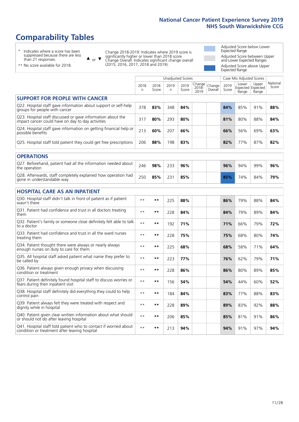### **Comparability Tables**

\* Indicates where a score has been suppressed because there are less than 21 responses.

\*\* No score available for 2018.

 $\triangle$  or  $\nabla$ 

Change 2018-2019: Indicates where 2019 score is significantly higher or lower than 2018 score Change Overall: Indicates significant change overall (2015, 2016, 2017, 2018 and 2019).

Adjusted Score below Lower Expected Range Adjusted Score between Upper and Lower Expected Ranges Adjusted Score above Upper Expected Range

|                                                                                                                   |              |               |           | <b>Unadjusted Scores</b> |                         |                   |               | Case Mix Adjusted Scores            |                |                   |
|-------------------------------------------------------------------------------------------------------------------|--------------|---------------|-----------|--------------------------|-------------------------|-------------------|---------------|-------------------------------------|----------------|-------------------|
|                                                                                                                   | 2018<br>n    | 2018<br>Score | 2019<br>n | 2019<br>Score            | Change<br>2018-<br>2019 | Change<br>Overall | 2019<br>Score | Lower<br>Expected Expected<br>Range | Upper<br>Range | National<br>Score |
| <b>SUPPORT FOR PEOPLE WITH CANCER</b>                                                                             |              |               |           |                          |                         |                   |               |                                     |                |                   |
| Q22. Hospital staff gave information about support or self-help<br>groups for people with cancer                  | 378          | 83%           | 348       | 84%                      |                         |                   | 84%           | 85%                                 | 91%            | 88%               |
| Q23. Hospital staff discussed or gave information about the<br>impact cancer could have on day to day activities  | 317          | 80%           | 293       | 80%                      |                         |                   | 81%           | 80%                                 | 88%            | 84%               |
| Q24. Hospital staff gave information on getting financial help or<br>possible benefits                            | 213          | 60%           | 207       | 66%                      |                         |                   | 66%           | 56%                                 | 69%            | 63%               |
| Q25. Hospital staff told patient they could get free prescriptions                                                | 206          | 88%           | 198       | 83%                      |                         |                   | 82%           | 77%                                 | 87%            | 82%               |
| <b>OPERATIONS</b>                                                                                                 |              |               |           |                          |                         |                   |               |                                     |                |                   |
| Q27. Beforehand, patient had all the information needed about<br>the operation                                    | 246          | 98%           | 233       | 96%                      |                         |                   | 96%           | 94%                                 | 99%            | 96%               |
| Q28. Afterwards, staff completely explained how operation had<br>gone in understandable way                       | 250          | 85%           | 231       | 85%                      |                         |                   | 85%           | 74%                                 | 84%            | 79%               |
| <b>HOSPITAL CARE AS AN INPATIENT</b>                                                                              |              |               |           |                          |                         |                   |               |                                     |                |                   |
| Q30. Hospital staff didn't talk in front of patient as if patient<br>wasn't there                                 | $* *$        | **            | 225       | 88%                      |                         |                   | 86%           | 79%                                 | 88%            | 84%               |
| Q31. Patient had confidence and trust in all doctors treating<br>them                                             | $\star\star$ | **            | 228       | 84%                      |                         |                   | 84%           | 79%                                 | 89%            | 84%               |
| Q32. Patient's family or someone close definitely felt able to talk<br>to a doctor                                | $\star\star$ | **            | 192       | 71%                      |                         |                   | 71%           | 66%                                 | 79%            | 72%               |
| Q33. Patient had confidence and trust in all the ward nurses<br>treating them                                     | $\star\star$ | **            | 228       | 75%                      |                         |                   | 75%           | 68%                                 | 80%            | 74%               |
| Q34. Patient thought there were always or nearly always<br>enough nurses on duty to care for them                 | $**$         | $***$         | 225       | 68%                      |                         |                   | 68%           | 58%                                 | 71%            | 64%               |
| Q35. All hospital staff asked patient what name they prefer to<br>be called by                                    | $**$         | **            | 223       | 77%                      |                         |                   | 76%           | 62%                                 | 79%            | 71%               |
| Q36. Patient always given enough privacy when discussing<br>condition or treatment                                | $\star\star$ | **            | 228       | 86%                      |                         |                   | 86%           | 80%                                 | 89%            | 85%               |
| Q37. Patient definitely found hospital staff to discuss worries or<br>fears during their inpatient visit          | $\star\star$ | **            | 156       | 54%                      |                         |                   | 54%           | 44%                                 | 60%            | 52%               |
| Q38. Hospital staff definitely did everything they could to help<br>control pain                                  | $\star\star$ | **            | 184       | 84%                      |                         |                   | 83%           | 77%                                 | 88%            | 83%               |
| Q39. Patient always felt they were treated with respect and<br>dignity while in hospital                          | $\star\star$ | **            | 228       | 89%                      |                         |                   | 89%           | 83%                                 | 92%            | 88%               |
| Q40. Patient given clear written information about what should<br>or should not do after leaving hospital         | $**$         | **            | 206       | 85%                      |                         |                   | 85%           | 81%                                 | 91%            | 86%               |
| Q41. Hospital staff told patient who to contact if worried about<br>condition or treatment after leaving hospital | $**$         | **            | 213       | 94%                      |                         |                   | 94%           | 91%                                 | 97%            | 94%               |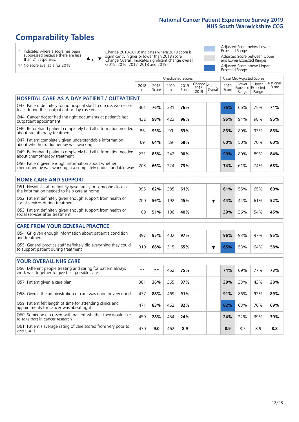### **Comparability Tables**

\* Indicates where a score has been suppressed because there are less than 21 responses.

\*\* No score available for 2018.

 $\triangle$  or  $\nabla$ 

Change 2018-2019: Indicates where 2019 score is significantly higher or lower than 2018 score Change Overall: Indicates significant change overall (2015, 2016, 2017, 2018 and 2019).

Adjusted Score below Lower Expected Range Adjusted Score between Upper and Lower Expected Ranges Adjusted Score above Upper Expected Range

|                                                                                                                       |              |               |           | <b>Unadjusted Scores</b> |                         |                      |               | Case Mix Adjusted Scores |                                     |                   |
|-----------------------------------------------------------------------------------------------------------------------|--------------|---------------|-----------|--------------------------|-------------------------|----------------------|---------------|--------------------------|-------------------------------------|-------------------|
|                                                                                                                       | 2018<br>n    | 2018<br>Score | 2019<br>n | 2019<br>Score            | Change<br>2018-<br>2019 | Change<br>Overall    | 2019<br>Score | Lower<br>Range           | Upper<br>Expected Expected<br>Range | National<br>Score |
| <b>HOSPITAL CARE AS A DAY PATIENT / OUTPATIENT</b>                                                                    |              |               |           |                          |                         |                      |               |                          |                                     |                   |
| Q43. Patient definitely found hospital staff to discuss worries or<br>fears during their outpatient or day case visit | 361          | 76%           | 331       | 76%                      |                         |                      | 76%           | 66%                      | 75%                                 | 71%               |
| Q44. Cancer doctor had the right documents at patient's last<br>outpatient appointment                                | 432          | 98%           | 423       | 96%                      |                         |                      | 96%           | 94%                      | 98%                                 | 96%               |
| Q46. Beforehand patient completely had all information needed<br>about radiotherapy treatment                         | 86           | 93%           | 99        | 83%                      |                         |                      | 83%           | 80%                      | 93%                                 | 86%               |
| Q47. Patient completely given understandable information<br>about whether radiotherapy was working                    | 69           | 64%           | 89        | 58%                      |                         |                      | 60%           | 50%                      | 70%                                 | 60%               |
| Q49. Beforehand patient completely had all information needed<br>about chemotherapy treatment                         | 231          | 85%           | 242       | 90%                      |                         |                      | 90%           | 80%                      | 89%                                 | 84%               |
| Q50. Patient given enough information about whether<br>chemotherapy was working in a completely understandable way    | 203          | 66%           | 224       | 73%                      |                         |                      | 74%           | 61%                      | 74%                                 | 68%               |
| <b>HOME CARE AND SUPPORT</b>                                                                                          |              |               |           |                          |                         |                      |               |                          |                                     |                   |
| Q51. Hospital staff definitely gave family or someone close all<br>the information needed to help care at home        | 395          | 62%           | 385       | 61%                      |                         |                      | 61%           | 55%                      | 65%                                 | 60%               |
| Q52. Patient definitely given enough support from health or<br>social services during treatment                       | 200          | 56%           | 192       | 45%                      |                         | $\blacktriangledown$ | 44%           | 44%                      | 61%                                 | 52%               |
| Q53. Patient definitely given enough support from health or<br>social services after treatment                        | 109          | 51%           | 106       | 40%                      |                         |                      | 39%           | 36%                      | 54%                                 | 45%               |
| <b>CARE FROM YOUR GENERAL PRACTICE</b>                                                                                |              |               |           |                          |                         |                      |               |                          |                                     |                   |
| Q54. GP given enough information about patient's condition<br>and treatment                                           | 397          | 95%           | 402       | 97%                      |                         |                      | 96%           | 93%                      | 97%                                 | 95%               |
| Q55. General practice staff definitely did everything they could<br>to support patient during treatment               | 310          | 66%           | 315       | 65%                      |                         | ▼                    | 65%           | 53%                      | 64%                                 | 58%               |
| <b>YOUR OVERALL NHS CARE</b>                                                                                          |              |               |           |                          |                         |                      |               |                          |                                     |                   |
| Q56. Different people treating and caring for patient always<br>work well together to give best possible care         | $\star\star$ | $***$         | 452       | 75%                      |                         |                      | 74%           | 69%                      | 77%                                 | 73%               |
| Q57. Patient given a care plan                                                                                        | 381          | 36%           | 365       | 37%                      |                         |                      | 39%           | 33%                      | 43%                                 | 38%               |
| Q58. Overall the administration of care was good or very good                                                         | 477          | 88%           | 469       | 91%                      |                         |                      | 91%           | 86%                      | 92%                                 | 89%               |
| Q59. Patient felt length of time for attending clinics and<br>appointments for cancer was about right                 | 471          | 83%           | 462       | 82%                      |                         |                      | 82%           | 63%                      | 76%                                 | 69%               |
| Q60. Someone discussed with patient whether they would like<br>to take part in cancer research                        | 459          | 28%           | 454       | 24%                      |                         |                      | 24%           | 22%                      | 39%                                 | 30%               |
| Q61. Patient's average rating of care scored from very poor to<br>very good                                           | 470          | 9.0           | 462       | 8.9                      |                         |                      | 8.9           | 8.7                      | 8.9                                 | 8.8               |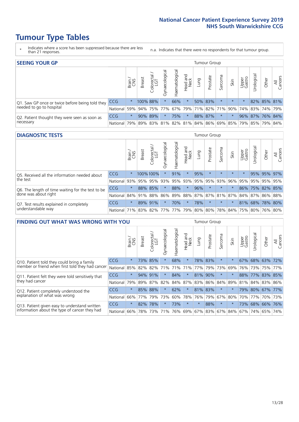- \* Indicates where a score has been suppressed because there are less than 21 responses.
- n.a. Indicates that there were no respondents for that tumour group.

| <b>SEEING YOUR GP</b>                           |            |          |               |                   |                    |                |                  |                 | Tumour Group |         |                                                     |                 |                 |             |                |
|-------------------------------------------------|------------|----------|---------------|-------------------|--------------------|----------------|------------------|-----------------|--------------|---------|-----------------------------------------------------|-----------------|-----------------|-------------|----------------|
|                                                 |            | Brain    | <b>Breast</b> | Colorectal<br>LGT | ᠊ᢛ<br>Gynaecologic | Haematological | Head and<br>Neck | Lung            | Prostate     | Sarcoma | Skin                                                | Upper<br>Gastro | Irologica       | Other       | All<br>Cancers |
| Q1. Saw GP once or twice before being told they | <b>CCG</b> | $^\star$ | 100% 88%      |                   |                    | 66%            | $\ast$           |                 | 50% 83%      |         | $\star$                                             |                 |                 | 82% 85% 81% |                |
| needed to go to hospital                        | National   | 59%      |               | 94% 75%           | 77%                |                |                  | 67% 79% 71% 82% |              |         | 71% 90% 74% 83% 74% 79%                             |                 |                 |             |                |
| Q2. Patient thought they were seen as soon as   | <b>CCG</b> | $\star$  |               | 90% 89%           |                    | 75%            | $\star$          |                 | 88% 87%      | $\star$ | $\star$                                             |                 | 96% 87% 76% 84% |             |                |
| necessary                                       | National   | 79%      |               |                   |                    |                |                  |                 |              |         | 89% 83% 81% 82% 81% 84% 86% 69% 85% 79% 85% 79% 84% |                 |                 |             |                |

#### **DIAGNOSTIC TESTS** Tumour Group

|                                                   |                                                                  | Brain<br>CNS | <b>Breast</b> | Colorectal<br>LGT | ᅙ<br>Gynaecologic | Haematological | Head and<br>Neck | Lung                | Prostate | Sarcoma | Skin    | Upper<br>Gastro | rological                                   | Other | All<br>Cancers |
|---------------------------------------------------|------------------------------------------------------------------|--------------|---------------|-------------------|-------------------|----------------|------------------|---------------------|----------|---------|---------|-----------------|---------------------------------------------|-------|----------------|
| O5. Received all the information needed about     | CCG                                                              | $\star$      |               | 100%100%          |                   | 91%            | $\star$          | 95%                 | $\star$  |         | $\star$ | $\star$         |                                             |       | 95% 95% 97%    |
| the test                                          | National                                                         | 93%          |               | 95% 95%           |                   |                |                  | 93% 95% 93% 95% 95% |          | 93%     | 96%     |                 | 95% 95%                                     |       | 95% 95%        |
| Q6. The length of time waiting for the test to be | <b>CCG</b>                                                       | $\star$      |               | 88% 85%           | $\star$           | 88%            | $\star$          | 96%                 | $\star$  | $\star$ |         |                 | 86% 75% 82% 85%                             |       |                |
| done was about right                              | National                                                         |              |               | 84% 91% 88%       |                   |                |                  |                     |          |         |         |                 | 86% 89% 88% 87% 87% 81% 87% 84% 87% 86% 88% |       |                |
| Q7. Test results explained in completely          | CCG                                                              | $\star$      |               | 89% 91%           | $\star$           | 70%            | $\star$          | 78%                 | $\star$  | $\star$ |         |                 | 81% 68% 78% 80%                             |       |                |
| understandable way                                | National 71% 83% 82% 77% 77% 79% 80% 80% 78% 84% 75% 80% 76% 80% |              |               |                   |                   |                |                  |                     |          |         |         |                 |                                             |       |                |

| <b>FINDING OUT WHAT WAS WRONG WITH YOU</b>        |          |         |               |                        |                |                |                        |                         | Tumour Group |         |         |                 |            |             |                |
|---------------------------------------------------|----------|---------|---------------|------------------------|----------------|----------------|------------------------|-------------------------|--------------|---------|---------|-----------------|------------|-------------|----------------|
|                                                   |          | Brain   | <b>Breast</b> | olorectal.<br>LGT<br>Û | Gynaecological | Haematological | ad and<br>Neck<br>Head | Lung                    | Prostate     | Sarcoma | Skin    | Upper<br>Gastro | Irological | Other       | All<br>Cancers |
| Q10. Patient told they could bring a family       | CCG      | $\star$ |               | 73% 85%                |                | 68%            | $^\star$               |                         | 78% 83%      | $\ast$  | $\star$ | 67%             | 68%        | 63% 72%     |                |
| member or friend when first told they had cancer  | National | 85%     | 82%           | 82%                    | 71%            | 71%            | 71%                    | 77%                     | 79%          | 73%     | 69%     | 76%             | 73%        | 75%         | 77%            |
| Q11. Patient felt they were told sensitively that | CCG      | $\star$ | 94%           | 91%                    |                | 84%            | $\ast$                 | 81%                     | 90%          | $\ast$  | $\star$ | 88%             | 77%        | 83%         | 85%            |
| they had cancer                                   | National | 79%     |               | 89% 87%                | 82%            |                | 84% 87%                |                         | 83% 86%      | 84%     | 89%     | 81%             |            | 84% 83%     | 86%            |
| Q12. Patient completely understood the            | CCG      | $\star$ | 85%           | 88%                    |                | 62%            | $\star$                | 81% 83%                 |              | $\ast$  | $\star$ | 79%             |            | 80% 67% 77% |                |
| explanation of what was wrong                     | National | 66%     | 77%           | 79%                    | 73%            | 60%            | 78%                    | 76%                     | 79%          | 67%     | 80%     | 70%             | 77%        | 70%         | 73%            |
| Q13. Patient given easy to understand written     | CCG      | $\star$ | 82%           | 78%                    |                | 73%            | $\star$                | $\star$                 | 88%          | $\ast$  | $\ast$  | 73%             | 68%        | 66% 76%     |                |
| information about the type of cancer they had     | National | 66%     | 78%           | 73%                    | 71%            | 76%            |                        | 69% 67% 83% 67% 84% 67% |              |         |         |                 | 74%        | 65%         | 74%            |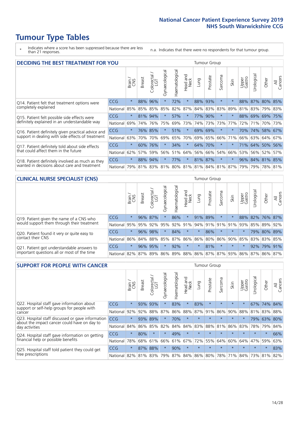\* Indicates where a score has been suppressed because there are less than 21 responses.

n.a. Indicates that there were no respondents for that tumour group.

| <b>DECIDING THE BEST TREATMENT FOR YOU</b>         |            |         |               |                             |                |                |                  |      | <b>Tumour Group</b> |                                     |         |                 |            |                 |                |
|----------------------------------------------------|------------|---------|---------------|-----------------------------|----------------|----------------|------------------|------|---------------------|-------------------------------------|---------|-----------------|------------|-----------------|----------------|
|                                                    |            | Brain   | <b>Breast</b> | blorectal.<br>LGT<br>$\cup$ | Gynaecological | Haematological | Head and<br>Neck | Lung | Prostate            | Sarcoma                             | Skin    | Upper<br>Gastro | Jrological | Other           | All<br>Cancers |
| Q14. Patient felt that treatment options were      | CCG        | $\star$ | 88%           | 96%                         | $\star$        | 72%            | $\star$          | 88%  | 93%                 | $\star$                             |         | 88%             | 87%        | 80%             | 85%            |
| completely explained                               | National   | 85%     | 85%           | 85%                         | 85%            | 82%            | 87%              |      | 84% 83%             | 83%                                 | 89%     | 81%             |            | 83% 79% 83%     |                |
| Q15. Patient felt possible side effects were       | <b>CCG</b> | $\star$ | 81%           | 94%                         | $\star$        | 57%            | $\star$          | 77%  | 90%                 | $\star$                             |         | 88%             | 69%        | 69%             | 175%           |
| definitely explained in an understandable way      | National   | 69%     | 74%           | 76%                         | 75%            | 69%            | 73%              |      | 74% 73%             | 73%                                 | 77%     | 72%             | 71%        | 70% 73%         |                |
| Q16. Patient definitely given practical advice and | <b>CCG</b> | $\star$ | 76%           | 85%                         |                | 51%            | $\star$          |      | 69% 69%             | $^\star$                            |         | 70%             | 74%        | 58% 67%         |                |
| support in dealing with side effects of treatment  | National   | 63%     | 70%           | 70%                         | 69%            | 65%            | 70%              |      | 69% 65%             | 66%                                 | 71%     | 66%             |            | 63% 64%         | 67%            |
| Q17. Patient definitely told about side effects    | <b>CCG</b> | $\star$ | 60%           | 76%                         |                | 34%            | $\star$          | 64%  | 70%                 | $\ast$                              |         | 71%             |            | 64% 50%         | 56%            |
| that could affect them in the future               | National   | 62%     | 57%           | 59%                         | 56%            | 51%            | 64%              |      | 56% 66%             | 54%                                 | 66%     | 53%             |            | 56% 52%         | 57%            |
| Q18. Patient definitely involved as much as they   | CCG        | $\star$ | 88%           | 94%                         | $\star$        | 77%            | $\star$          |      | 81% 87%             | $\ast$                              | $\star$ |                 |            | 96% 84% 81% 85% |                |
| wanted in decisions about care and treatment       | National   | 79%     |               |                             |                |                |                  |      |                     | 81% 83% 81% 80% 81% 81% 84% 81% 87% |         | 79%             |            | 79% 78% 81%     |                |

#### **CLINICAL NURSE SPECIALIST (CNS)** Tumour Group

|                                             |          | Brain   | <b>Breast</b>   | Colorectal<br>LGT | Gynaecologica | శా<br>aematologi | Head and<br>Neck | Lung    | Prostate | Sarcoma | Skin    | Upper<br>Gastro                               | rological | Other           | All<br>Cancers |
|---------------------------------------------|----------|---------|-----------------|-------------------|---------------|------------------|------------------|---------|----------|---------|---------|-----------------------------------------------|-----------|-----------------|----------------|
| Q19. Patient given the name of a CNS who    | CCG      | $\star$ |                 | 96% 87%           |               | 86%              | $\star$          | 91% 89% |          | $\star$ |         |                                               |           | 88% 82% 76% 87% |                |
| would support them through their treatment  | National | 95%     | 95%             | 92%               | 95%           | 92%              | 91%              |         | 94% 91%  | 91%     | 91%     | 93%                                           | 85%       | 89%             | 92%            |
| Q20. Patient found it very or quite easy to | CCG      | $\star$ |                 | 96% 98%           |               | 84%              | $\star$          | $\star$ | 86%      | $\star$ | $\star$ | $\star$                                       | 79%       | $80\%$          | 89%            |
| contact their CNS                           | National |         | 86% 84% 88% 85% |                   |               | 87%              | 86%              | 86% 80% |          |         |         | 86% 90% 85%                                   |           | 83% 83%         | 85%            |
| Q21. Patient got understandable answers to  | CCG      | $\star$ | 96%             | 95%               |               | 92%              | $\star$          | $\star$ | 81%      | $\star$ | $\star$ | $\star$                                       |           | 92% 79%         | 91%            |
| important questions all or most of the time | National |         | 82% 87% 89% 86% |                   |               |                  |                  |         |          |         |         | 89%   88%   86%   87%   87%   93%   86%   87% |           | 86%             | 87%            |

| <b>SUPPORT FOR PEOPLE WITH CANCER</b>                                                             |            |         |               |                            |                |                |                        |             | Tumour Group |         |         |                 |           |         |                |
|---------------------------------------------------------------------------------------------------|------------|---------|---------------|----------------------------|----------------|----------------|------------------------|-------------|--------------|---------|---------|-----------------|-----------|---------|----------------|
|                                                                                                   |            | Brain   | <b>Breast</b> | ╮<br>olorectal<br>LGT<br>Ū | Gynaecological | Haematological | ad and<br>Neck<br>Head | <b>Dung</b> | Prostate     | Sarcoma | Skin    | Upper<br>Gastro | Urologica | Other   | All<br>Cancers |
| Q22. Hospital staff gave information about<br>support or self-help groups for people with         | CCG        | $\star$ | 93%           | 93%                        | $\star$        | 83%            | $\star$                | 83%         | $\star$      | $\star$ | $\star$ | $\star$         | 67%       | 74% 84% |                |
| cancer                                                                                            | National   | 92%     | 92%           | 88%                        | 87%            | 86%            | 88%                    | 87%         | 91%          | 86%     | 90%     | 88%             | 81%       | 83%     | 88%            |
| Q23. Hospital staff discussed or gave information<br>about the impact cancer could have on day to | CCG        | $\star$ | 93%           | 89%                        | $\star$        | 70%            | $\star$                | $\star$     | $\star$      | 大       | $\star$ | $\star$         | 79%       | 63%     | 80%            |
| day activities                                                                                    | National   | 84%     |               | 86% 85%                    | 82%            | 84%            | 84%                    | 83%         | 88%          | 81%     | 86%     | 83%             | 78%       | 79%     | 84%            |
| Q24. Hospital staff gave information on getting                                                   | CCG        | $\star$ | 80%           | $\star$                    | $\star$        | 49%            | $\star$                | $\star$     | $\star$      | 大       | $\star$ | $\star$         | $\star$   | $\ast$  | 66%            |
| financial help or possible benefits                                                               | National   | 78%     | 68%           | 61%                        | 66%            | 61%            | 67%                    | 72%         | 55%          | 64%     | 60%     | 64%             | 47%       | 59%     | 63%            |
| Q25. Hospital staff told patient they could get                                                   | <b>CCG</b> | $\star$ | 87%           | 88%                        | $\star$        | 90%            | $\star$                | $\star$     | $\star$      | 大       | $\star$ | $\star$         | $\star$   | $\star$ | 83%            |
| free prescriptions                                                                                | National   | 82%     |               | 81% 83%                    | 79%            | 87%            |                        |             | 84% 86% 80%  | 78%     | 71%     | 84%             | 73%       | 81%     | 82%            |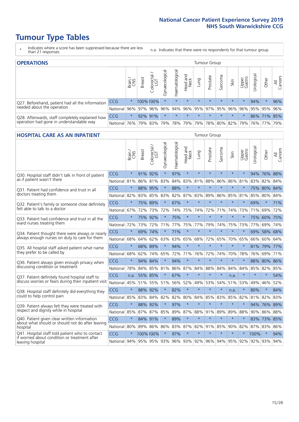- \* Indicates where a score has been suppressed because there are less than 21 responses.
- n.a. Indicates that there were no respondents for that tumour group.

| <b>OPERATIONS</b>                                                                           |            |         |               |            |                    |                |                                                       |         | Tumour Group |         |         |                 |                       |             |                |  |
|---------------------------------------------------------------------------------------------|------------|---------|---------------|------------|--------------------|----------------|-------------------------------------------------------|---------|--------------|---------|---------|-----------------|-----------------------|-------------|----------------|--|
|                                                                                             |            | Brain   | <b>Breast</b> | Colorectal | ᠊ᢛ<br>Gynaecologic | Haematological | Head and<br>Neck                                      | Lung    | Prostate     | Sarcoma | Skin    | Upper<br>Gastro | $\sigma$<br>Jrologica | Other       | All<br>Cancers |  |
| Q27. Beforehand, patient had all the information<br>needed about the operation              | CCG        | $\star$ |               | 100%100%   | $\star$            | $\star$        | $\star$                                               | $\star$ | $\star$      | $\star$ | $\star$ | $\star$         | 94%                   | $\star$     | 96%            |  |
|                                                                                             | National   | 96%     | 97%           | 96%        | 96%                |                | 94% 96% 95% 97% 95% 96%                               |         |              |         |         | 96%             |                       | 95% 95% 96% |                |  |
| Q28. Afterwards, staff completely explained how<br>operation had gone in understandable way | <b>CCG</b> | $\star$ |               | 92% 91%    | $\star$            | $\star$        | $\star$                                               | $\star$ | $\star$      | $\star$ | $\star$ | $\star$         |                       | 86% 71% 85% |                |  |
|                                                                                             | National   | 76%     |               | 79% 83%    |                    |                | 79%  78%  79%  79%  78%  80%  82%  79%  76%  77%  79% |         |              |         |         |                 |                       |             |                |  |

#### **HOSPITAL CARE AS AN INPATIENT** Tumour Group

|                                                                                                  |              | Brain   | Breast  | Colorectal /<br>LGT | Gynaecological | Haematological | Head and<br>Neck | Lung        | Prostate | Sarcoma | Skin            | Upper<br>Gastro | Urological | Other       | All<br>Cancers |
|--------------------------------------------------------------------------------------------------|--------------|---------|---------|---------------------|----------------|----------------|------------------|-------------|----------|---------|-----------------|-----------------|------------|-------------|----------------|
| Q30. Hospital staff didn't talk in front of patient                                              | CCG          | $\star$ | 91%     | 92%                 | $\star$        | 97%            | $\star$          | $\star$     | $\star$  | $\star$ | $\star$         | $\star$         |            | 94% 76% 88% |                |
| as if patient wasn't there                                                                       | National     | 81%     | 86%     | 81%                 | 83%            | 84%            | 83%              | 81%         | 88%      | 86%     | 86%             | 81%             | 83%        | 82%         | 84%            |
| 031. Patient had confidence and trust in all<br>doctors treating them                            | CCG          | $\star$ | 88%     | 95%                 | $\star$        | 88%            | $\star$          | $\star$     | $\star$  | $\star$ | $\star$         |                 |            | 75% 80%     | 84%            |
|                                                                                                  | National     | 82%     |         | 83% 85%             | 83%            | 82%            |                  | 87% 83%     | 89%      | 86%     | 85%             | 81%             | 85%        | 80% 84%     |                |
| Q32. Patient's family or someone close definitely                                                | CCG          | $\star$ | 75%     | 89%                 |                | 67%            | $\star$          | $\star$     | $\star$  | $\star$ | $\star$         | $\star$         | 69%        | $\star$     | 71%            |
| felt able to talk to a doctor                                                                    | National     | 67%     | 72%     | 73%                 | 72%            | 74%            | 75%              | 74%         | 72%      | 71%     | 74%             | 73%             | 71%        | 69%         | 72%            |
| Q33. Patient had confidence and trust in all the                                                 | CCG          | $\star$ | 75%     | 92%                 | $\star$        | 75%            | $\star$          | $\star$     | $\star$  | $\star$ | $\star$         | $\star$         |            | 75% 60% 75% |                |
| ward nurses treating them                                                                        | National     | 72%     | 73%     | 72%                 | 71%            | 77%            | 75%              | 77%         | 79%      | 74%     | 75%             | 73%             | 77%        | 69%         | 74%            |
| Q34. Patient thought there were always or nearly                                                 | CCG          | $\star$ | 69%     | 74%                 | $\star$        | 71%            | $\star$          | $\star$     | $\star$  | $\star$ | $\star$         | $\star$         | 69%        | 58%         | 68%            |
| always enough nurses on duty to care for them                                                    | National     | 68%     | 64%     | 62%                 | 63%            | 63%            | 65%              | 68%         | 72%      | 65%     | 70%             | 65%             | 66%        | 60%         | 64%            |
| Q35. All hospital staff asked patient what name                                                  | CCG          | $\star$ | 68%     | 89%                 |                | 94%            | $\star$          | $\star$     | $\star$  | $\star$ | $\star$         |                 |            | 81% 79% 77% |                |
| they prefer to be called by                                                                      | National     | 68%     | 62%     | 74%                 | 65%            | 72%            | 71%              | 76%         | 72%      | 74%     | 70%             | 78%             | 76%        | 69%         | 71%            |
| Q36. Patient always given enough privacy when                                                    | CCG          | $\star$ | 94%     | 84%                 | $\star$        | 94%            | $\star$          | $\star$     | $\star$  | $\star$ | $\star$         |                 |            | 88% 80% 86% |                |
| discussing condition or treatment                                                                | National     | 78%     | 84%     | 85%                 | 81%            | 86%            |                  | 87% 84%     | 88%      | 84%     | 84%             | 84%             | 85%        | 82%         | 85%            |
| Q37. Patient definitely found hospital staff to                                                  | CCG          | n.a.    | 55%     | 85%                 | $\star$        | 67%            | $\star$          | $\star$     | $\star$  | $\star$ | n.a.            |                 | $\star$    | $\star$     | 54%            |
| discuss worries or fears during their inpatient visit                                            | National     | 45%     |         | 51% 55%             | 51%            |                | 56% 52%          | 49%         | 53%      | 54%     | 51%             | 53%             | 49%        | 46%         | 52%            |
| Q38. Hospital staff definitely did everything they                                               | CCG          | $\star$ | 88% 92% |                     | $\star$        | 82%            | $\star$          | $\star$     | $\star$  | $\star$ | n.a.            | $\star$         | 80%        | $\star$     | 84%            |
| could to help control pain                                                                       | National     | 85%     | 83%     | 84%                 | 82%            | 82%            | 80%              | 84%         | 85%      | 83%     | 85%             | 82%             | 81%        | 82%         | 83%            |
| Q39. Patient always felt they were treated with                                                  | CCG          | $\star$ | 88%     | 92%                 | $\star$        | 97%            | $\star$          | $\star$     | $\star$  | $\star$ | $\star$         |                 |            | 94% 76%     | 89%            |
| respect and dignity while in hospital                                                            | National     | 85%     |         | 87% 87%             | 85%            |                |                  | 89% 87% 88% | 91%      | 89%     | 89%             | 88%             |            | 90% 86% 88% |                |
| Q40. Patient given clear written information<br>about what should or should not do after leaving | CCG          | $\star$ | 84% 91% |                     | $\star$        | 89%            | $\star$          | $\star$     | $\star$  | $\star$ | $\star$         | $\star$         |            | 83% 73%     | 85%            |
| hospital                                                                                         | National     | 80%     | 89%     | 86%                 | 86%            | 83%            |                  | 87% 82%     | 91%      | 85%     | 90%             | 82%             | 87%        | 83%         | 86%            |
| Q41. Hospital staff told patient who to contact<br>if worried about condition or treatment after | CCG          | $\star$ |         | 100%100%            | $\star$        | 97%            | $\star$          | $\star$     | $\star$  | $\star$ | $\star$         |                 | 100%       | $\star$     | 94%            |
| leaving hospital                                                                                 | National 94% |         |         | 95% 95% 93%         |                |                |                  | 96% 93% 92% |          |         | 96% 94% 95% 92% |                 |            | 92% 93% 94% |                |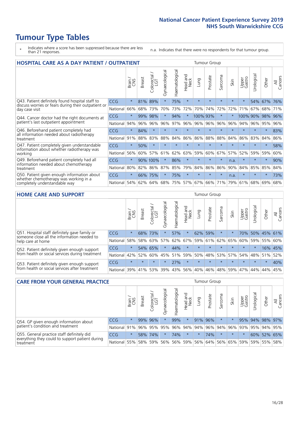- \* Indicates where a score has been suppressed because there are less than 21 responses.
- n.a. Indicates that there were no respondents for that tumour group.

| <b>HOSPITAL CARE AS A DAY PATIENT / OUTPATIENT</b>                                                                    | <b>Tumour Group</b> |         |               |                 |                |                |                        |          |          |              |         |                 |            |         |                |
|-----------------------------------------------------------------------------------------------------------------------|---------------------|---------|---------------|-----------------|----------------|----------------|------------------------|----------|----------|--------------|---------|-----------------|------------|---------|----------------|
|                                                                                                                       |                     | Brain   | <b>Breast</b> | ╮<br>Colorectal | Gynaecological | Haematological | ad and<br>Neck<br>Head | Lung     | Prostate | arcoma<br>ιñ | Skin    | Upper<br>Gastro | Urological | Other   | All<br>Cancers |
| Q43. Patient definitely found hospital staff to                                                                       | CCG                 | $\star$ | 81%           | 89%             | $\star$        | 75%            | $\star$                | $\star$  | $\star$  | $\star$      | $\star$ | $\star$         | 54%        | 67%     | 76%            |
| discuss worries or fears during their outpatient or<br>day case visit                                                 | National            | 66%     | 68%           | 73%             | 70%            | 73%            | 72%                    | 70%      | 74%      | 72%          | 72%     | 71%             | 67%        | 68%     | 71%            |
| Q44. Cancer doctor had the right documents at<br>patient's last outpatient appointment                                | CCG                 | $\star$ | 99%           | 98%             | $\star$        | 94%            | $\star$                | 100% 93% |          | $\star$      |         | 100% 90%        |            | 98%     | 96%            |
|                                                                                                                       | National            | 94%     | 96%           | 96%             | 96%            | 97%            | 96%                    | 96%      | 96%      | 96%          | 96%     | 94%             | 96%        | 95%     | 96%            |
| Q46. Beforehand patient completely had                                                                                | <b>CCG</b>          | $\star$ | 84%           | $\star$         | $\star$        | $\star$        | $\star$                | $\star$  | $\star$  | $\star$      | $\star$ | $\star$         | $\star$    | $\ast$  | 83%            |
| all information needed about radiotherapy<br>treatment                                                                | National            | 91%     | 88%           | 83%             | 88%            | 84%            | 86%                    | 86%      | 88%      | 88%          | 84%     | 86%             | 83%        | 84%     | 86%            |
| Q47. Patient completely given understandable                                                                          | CCG                 | $\star$ | 50%           | $\star$         |                |                | $\star$                | $\star$  | $\star$  | $\star$      |         |                 |            | $\ast$  | 58%            |
| information about whether radiotherapy was<br>working                                                                 | National            | 56%     | 60%           | 57%             | 61%            | 62%            | 63%                    | 59%      | 60%      | 67%          | 57%     | 52%             | 59%        | 59%     | 60%            |
| Q49. Beforehand patient completely had all                                                                            | <b>CCG</b>          | $\star$ |               | 90% 100%        | $\star$        | 86%            | $\star$                | $\star$  | $\star$  | $\star$      | n.a.    | $\star$         | $\star$    | $\star$ | 90%            |
| information needed about chemotherapy<br>treatment                                                                    | National            | 80%     | 82%           | 86%             | 87%            | 85%            | 79%                    | 84%      | 86%      | 86%          | 90%     | 84%             | 85%        | 85%     | 84%            |
| Q50. Patient given enough information about<br>whether chemotherapy was working in a<br>completely understandable way | <b>CCG</b>          | $\star$ | 66%           | 75%             | $\star$        | 75%            | $\star$                | $\star$  | $\star$  | $\star$      | n.a.    | $\star$         | $\star$    | $\star$ | 73%            |
|                                                                                                                       | National            | 54%     | 62%           | 64%             | 68%            | 75%            |                        | 57% 67%  | 66%      | 71%          | 79%     | 61%             | 68%        | 69%     | 68%            |

#### **HOME CARE AND SUPPORT** Tumour Group

|                                                                                                 |            | Brain   | <b>Breast</b> | Colorectal<br>LGT | ᢛ<br>Gynaecologic | Haematological | Head and<br>Neck | Lung            | Prostate | Sarcoma | Skin    | Upper<br>Gastro | rological   | Other       | All<br>Cancers |
|-------------------------------------------------------------------------------------------------|------------|---------|---------------|-------------------|-------------------|----------------|------------------|-----------------|----------|---------|---------|-----------------|-------------|-------------|----------------|
| Q51. Hospital staff definitely gave family or<br>someone close all the information needed to    | <b>CCG</b> | $\star$ |               | 68% 73%           |                   | 57%            | $\ast$           | 62%             | 59%      | $\ast$  |         | 70%             |             | 50% 45% 61% |                |
| help care at home                                                                               | National   | 58%     |               | 58% 63%           | 57%               | 62%            |                  | 67%   59%   61% |          |         | 62% 65% |                 | 60% 59% 55% |             | 60%            |
| Q52. Patient definitely given enough support<br>from health or social services during treatment | <b>CCG</b> | $\star$ |               | 54% 65%           | $\star$           | 44%            | $\star$          | $\star$         | $\star$  |         |         | $\star$         | $\star$     |             | 16% 45%        |
|                                                                                                 | National   | 42%     | 52%           | 60%               |                   | 45% 51%        | 59%              | 50%             | 48%      |         | 53% 57% |                 | 54% 48% 51% |             | 52%            |
| Q53. Patient definitely given enough support<br>from health or social services after treatment  | <b>CCG</b> | $\star$ | $\star$       | $\star$           | $\star$           | 27%            | $\star$          | $\star$         | $\star$  | $\star$ | $\star$ | $\star$         | $\star$     | $\star$     | 40%            |
|                                                                                                 | National   | 39%     | 41% 53%       |                   | 39%               | $ 43\% $       | 56%              | 40%             | 46%      |         | 48% 59% | 47%             | 44%         | 44%         | 45%            |

| <b>CARE FROM YOUR GENERAL PRACTICE</b>                                                                     |              |         |               |                   |                |                |                  | Tumour Group |          |         |                                         |                 |                 |             |                |
|------------------------------------------------------------------------------------------------------------|--------------|---------|---------------|-------------------|----------------|----------------|------------------|--------------|----------|---------|-----------------------------------------|-----------------|-----------------|-------------|----------------|
|                                                                                                            |              | Brain,  | <b>Breast</b> | Colorectal<br>LGT | Gynaecological | Haematological | Head and<br>Neck | Lung         | Prostate | Sarcoma | Skin                                    | Upper<br>Gastro | Φ<br>Urologica  | Other       | All<br>Cancers |
| Q54. GP given enough information about                                                                     | <b>CCG</b>   | $\star$ |               | 99% 96%           |                | 99%            | $\star$          |              | 91% 96%  | $\star$ |                                         |                 | 95% 94% 98% 97% |             |                |
| patient's condition and treatment                                                                          | National 91% |         |               | 96% 95%           | 95%            |                |                  |              |          |         | 96% 94% 94% 96% 94% 96% 93% 95% 94% 95% |                 |                 |             |                |
| Q55. General practice staff definitely did<br>everything they could to support patient during<br>treatment | <b>CCG</b>   | $\star$ | 58%           | 174%              |                | 74%            | $\star$          | $\star$      | 74%      | $\star$ | $\star$                                 | $\star$         |                 | 60% 52% 65% |                |
|                                                                                                            | National 55% |         |               | 58% 59%           | 56%            |                |                  |              |          |         | 56% 59% 56% 64% 56% 65% 59%             |                 |                 | 59% 55%     | 58%            |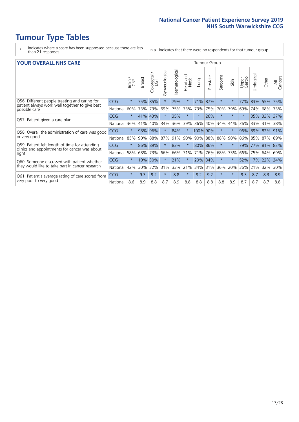- \* Indicates where a score has been suppressed because there are less than 21 responses.
- n.a. Indicates that there were no respondents for that tumour group.

#### **YOUR OVERALL NHS CARE** THE TWO CONTROLLER THE THE THROUP CHANGE THE TUMOUR GROUP

|            | Brain   | <b>Breast</b> | Colorectal<br>LGT | Gynaecological                  | Haematological | Head and<br>Neck | Lung       | Prostate | Sarcoma                        | Skin    | Upper<br>Gastro | Urologica | Other | All<br>Cancers                       |
|------------|---------|---------------|-------------------|---------------------------------|----------------|------------------|------------|----------|--------------------------------|---------|-----------------|-----------|-------|--------------------------------------|
| <b>CCG</b> | $\star$ | 75%           | 85%               | $\star$                         | 79%            | $\ast$           | 71%        | 87%      | $\star$                        | $\star$ | 77%             | 83%       | 55%   | 75%                                  |
| National   | 60%     |               | 73%               | 69%                             | 75%            | 73%              | 73%        | 75%      | 70%                            | 79%     | 69%             | 74%       | 68%   | 73%                                  |
| <b>CCG</b> | $\star$ |               |                   |                                 | 35%            | $\star$          | $\star$    | 26%      | $\star$                        | $\star$ | $\star$         |           |       | 37%                                  |
| National   | 36%     | 41%           | 40%               | 34%                             | 36%            | 39%              | 36%        | 40%      | 34%                            | 44%     | 36%             | 33%       | 31%   | 38%                                  |
| <b>CCG</b> | $\star$ | 98%           | 96%               |                                 | 84%            | $\ast$           |            |          | $\star$                        | $\star$ | 96%             |           | 82%   | 91%                                  |
| National   | 85%     | 90%           | 88%               | 87%                             |                | 90%              |            |          | 88%                            | 90%     |                 |           |       | 89%                                  |
| <b>CCG</b> | $\star$ |               |                   | $\star$                         | 83%            | $\star$          |            |          | $\star$                        | $\star$ | 79%             |           |       | 82%                                  |
| National   | 58%     | 68%           | 73%               | 66%                             | 66%            | 71%              | 71%        | 76%      | 68%                            | 73%     | 66%             | 75%       | 64%   | 69%                                  |
| <b>CCG</b> | $\star$ | 19%           | 30%               |                                 | 21%            | $\star$          | 29%        | 34%      | $\star$                        | $\star$ | 52%             | 17%       | 22%   | 24%                                  |
| National   | 42%     | 30%           | 32%               | 31%                             | 33%            |                  | 34%        | 31%      | 36%                            | 20%     | 36%             | 21%       | 32%   | 30%                                  |
| <b>CCG</b> | $\star$ | 9.3           | 9.2               | $\star$                         | 8.8            | $\ast$           | 9.2        | 9.2      | $\star$                        | $\ast$  | 9.3             | 8.7       | 8.3   | 8.9                                  |
| National   | 8.6     | 8.9           | 8.8               | 8.7                             | 8.9            | 8.8              | 8.8        | 8.8      | 8.8                            | 8.9     | 8.7             | 8.7       | 8.7   | 8.8                                  |
|            |         |               |                   | 73%<br>41%<br>43%<br>89%<br>86% |                |                  | 91%<br>21% |          | 100% 90%<br>90% 88%<br>80% 86% |         |                 |           | 89%   | 35% 33%<br>86% 85%<br>87%<br>77% 81% |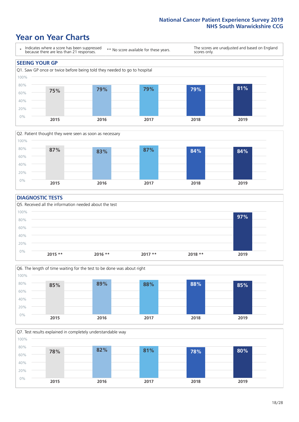### **Year on Year Charts**





#### **DIAGNOSTIC TESTS**





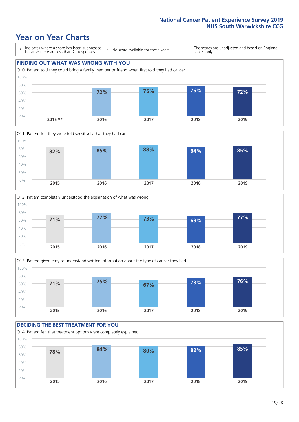







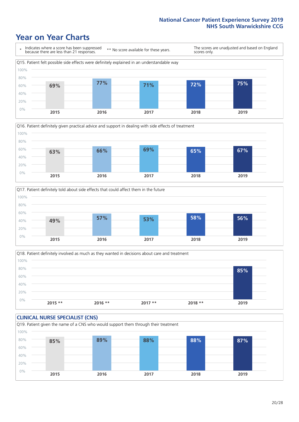





Q18. Patient definitely involved as much as they wanted in decisions about care and treatment  $0%$ 20% 40% 60% 80% 100% **2015 \*\* 2016 \*\* 2017 \*\* 2018 \*\* 2019 85%**

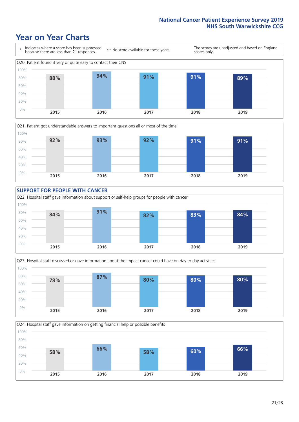







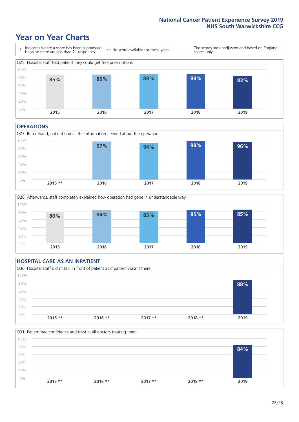### **Year on Year Charts**



#### **OPERATIONS**

Q27. Beforehand, patient had all the information needed about the operation  $0%$ 20% 40% 60% 80% 100% **2015 \*\* 2016 2017 2018 2019 97% 94% 98% 96%**



### **HOSPITAL CARE AS AN INPATIENT** Q30. Hospital staff didn't talk in front of patient as if patient wasn't there 0% 20% 40% 60% 80% 100% **2015 \*\* 2016 \*\* 2017 \*\* 2018 \*\* 2019 88%**

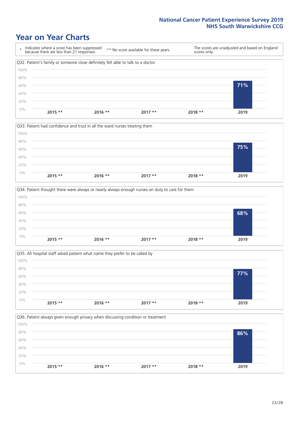







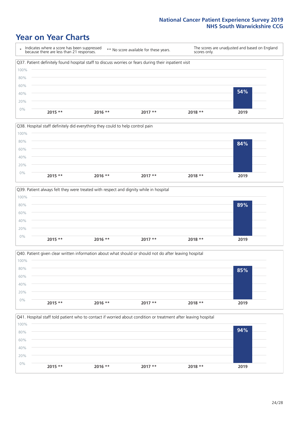







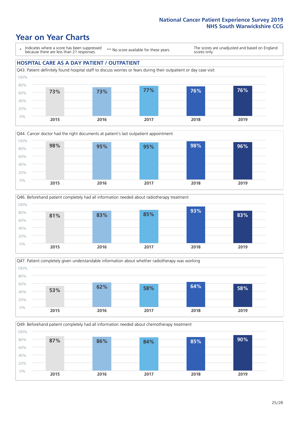### **Year on Year Charts**

\* Indicates where a score has been suppressed because there are less than 21 responses.

\*\* No score available for these years.

The scores are unadjusted and based on England scores only.

#### **HOSPITAL CARE AS A DAY PATIENT / OUTPATIENT**









Q49. Beforehand patient completely had all information needed about chemotherapy treatment 0% 20% 40% 60% 80% 100% **2015 2016 2017 2018 2019 87% 86% 84% 85% 90%**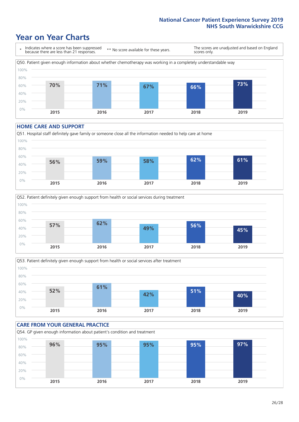### **Year on Year Charts**



#### **HOME CARE AND SUPPORT**







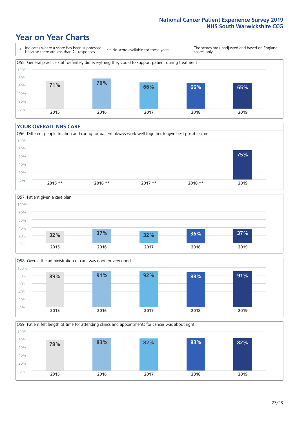### **Year on Year Charts**

\* Indicates where a score has been suppressed because there are less than 21 responses. \*\* No score available for these years. The scores are unadjusted and based on England scores only. Q55. General practice staff definitely did everything they could to support patient during treatment 0% 20% 40% 60% 80% 100% **2015 2016 2017 2018 2019 71% 76% 66% 66% 65%**

#### **YOUR OVERALL NHS CARE**







Q59. Patient felt length of time for attending clinics and appointments for cancer was about right 0% 20% 40% 60% 80% 100% **2015 2016 2017 2018 2019 78% 83% 82% 83% 82%**